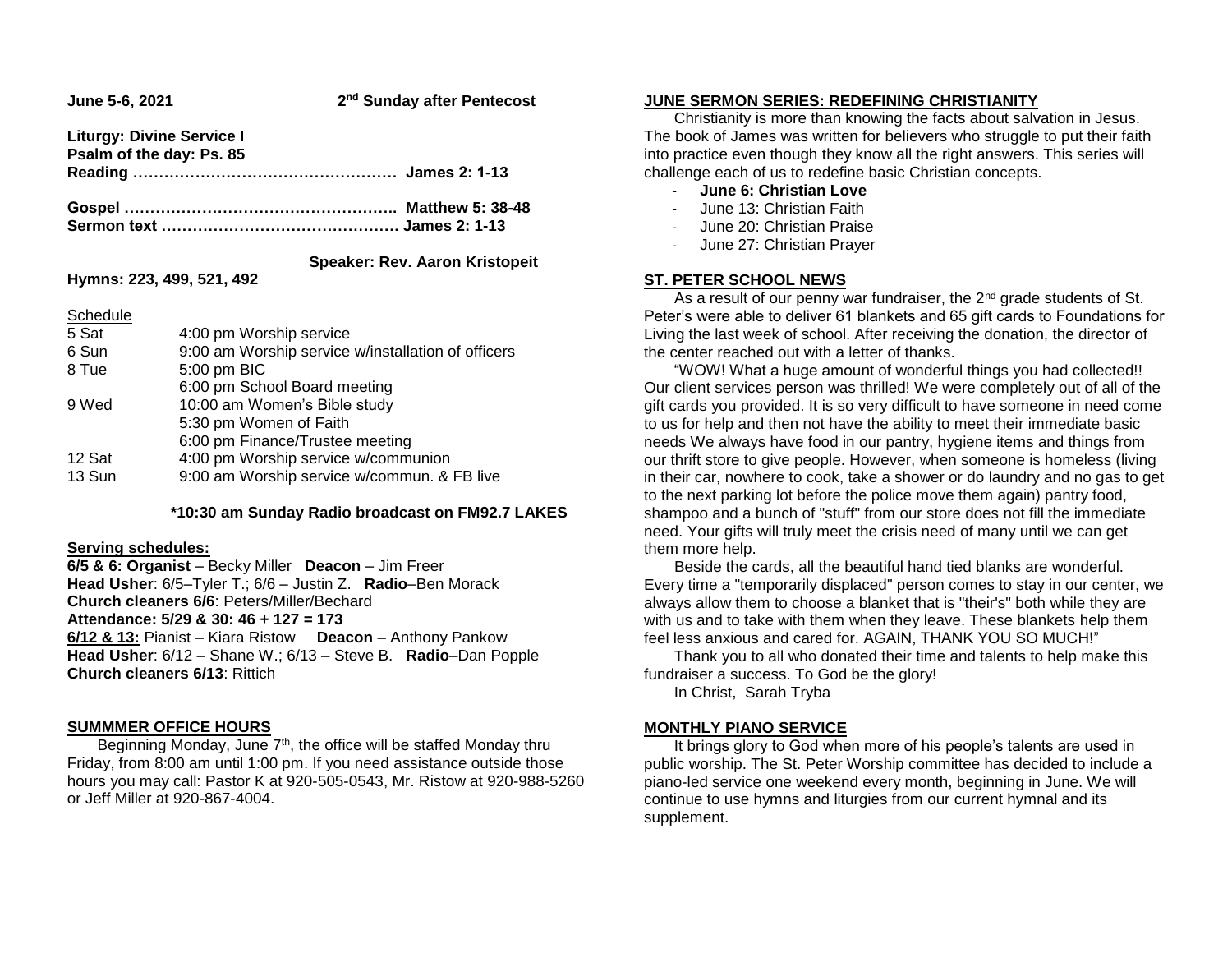| June 5-6, 2021                                               | 2 <sup>nd</sup> Sunday after Pentecost |
|--------------------------------------------------------------|----------------------------------------|
| <b>Liturgy: Divine Service I</b><br>Psalm of the day: Ps. 85 |                                        |
|                                                              |                                        |
|                                                              |                                        |

# **Speaker: Rev. Aaron Kristopeit**

**Hymns: 223, 499, 521, 492**

Schedule

| <b>POLIEUGIE</b> |                                                    |
|------------------|----------------------------------------------------|
| 5 Sat            | 4:00 pm Worship service                            |
| 6 Sun            | 9:00 am Worship service w/installation of officers |
| 8 Tue            | 5:00 pm BIC                                        |
|                  | 6:00 pm School Board meeting                       |
| 9 Wed            | 10:00 am Women's Bible study                       |
|                  | 5:30 pm Women of Faith                             |
|                  | 6:00 pm Finance/Trustee meeting                    |
| 12 Sat           | 4:00 pm Worship service w/communion                |
| 13 Sun           | 9:00 am Worship service w/commun. & FB live        |
|                  |                                                    |

### **\*10:30 am Sunday Radio broadcast on FM92.7 LAKES**

### **Serving schedules:**

**6/5 & 6: Organist** – Becky Miller **Deacon** – Jim Freer **Head Usher**: 6/5–Tyler T.; 6/6 – Justin Z. **Radio**–Ben Morack **Church cleaners 6/6**: Peters/Miller/Bechard

### **Attendance: 5/29 & 30: 46 + 127 = 173**

**6/12 & 13:** Pianist – Kiara Ristow **Deacon** – Anthony Pankow **Head Usher**: 6/12 – Shane W.; 6/13 – Steve B. **Radio**–Dan Popple **Church cleaners 6/13**: Rittich

### **SUMMMER OFFICE HOURS**

Beginning Monday, June 7<sup>th</sup>, the office will be staffed Monday thru Friday, from 8:00 am until 1:00 pm. If you need assistance outside those hours you may call: Pastor K at 920-505-0543, Mr. Ristow at 920-988-5260 or Jeff Miller at 920-867-4004.

### **JUNE SERMON SERIES: REDEFINING CHRISTIANITY**

 Christianity is more than knowing the facts about salvation in Jesus. The book of James was written for believers who struggle to put their faith into practice even though they know all the right answers. This series will challenge each of us to redefine basic Christian concepts.

- **June 6: Christian Love**
- June 13: Christian Faith
- June 20: Christian Praise
- June 27: Christian Prayer

## **ST. PETER SCHOOL NEWS**

As a result of our penny war fundraiser, the 2<sup>nd</sup> grade students of St. Peter's were able to deliver 61 blankets and 65 gift cards to Foundations for Living the last week of school. After receiving the donation, the director of the center reached out with a letter of thanks.

 "WOW! What a huge amount of wonderful things you had collected!! Our client services person was thrilled! We were completely out of all of the gift cards you provided. It is so very difficult to have someone in need come to us for help and then not have the ability to meet their immediate basic needs We always have food in our pantry, hygiene items and things from our thrift store to give people. However, when someone is homeless (living in their car, nowhere to cook, take a shower or do laundry and no gas to get to the next parking lot before the police move them again) pantry food, shampoo and a bunch of "stuff" from our store does not fill the immediate need. Your gifts will truly meet the crisis need of many until we can get them more help.

 Beside the cards, all the beautiful hand tied blanks are wonderful. Every time a "temporarily displaced" person comes to stay in our center, we always allow them to choose a blanket that is "their's" both while they are with us and to take with them when they leave. These blankets help them feel less anxious and cared for. AGAIN, THANK YOU SO MUCH!"

 Thank you to all who donated their time and talents to help make this fundraiser a success. To God be the glory!

In Christ, Sarah Tryba

## **MONTHLY PIANO SERVICE**

 It brings glory to God when more of his people's talents are used in public worship. The St. Peter Worship committee has decided to include a piano-led service one weekend every month, beginning in June. We will continue to use hymns and liturgies from our current hymnal and its supplement.